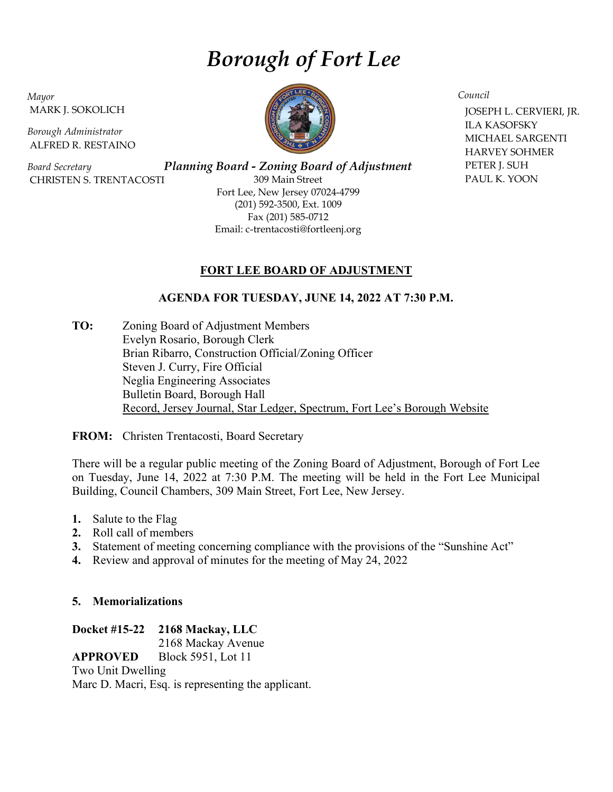# Borough of Fort Lee

Mayor MARK J. SOKOLICH

Borough Administrator ALFRED R. RESTAINO

Board Secretary CHRISTEN S. TRENTACOSTI

Planning Board - Zoning Board of Adjustment 309 Main Street Fort Lee, New Jersey 07024-4799 (201) 592-3500, Ext. 1009 Fax (201) 585-0712 Email: c-trentacosti@fortleenj.org

# FORT LEE BOARD OF ADJUSTMENT

# AGENDA FOR TUESDAY, JUNE 14, 2022 AT 7:30 P.M.

TO: Zoning Board of Adjustment Members Evelyn Rosario, Borough Clerk Brian Ribarro, Construction Official/Zoning Officer Steven J. Curry, Fire Official Neglia Engineering Associates Bulletin Board, Borough Hall Record, Jersey Journal, Star Ledger, Spectrum, Fort Lee's Borough Website

FROM: Christen Trentacosti, Board Secretary

There will be a regular public meeting of the Zoning Board of Adjustment, Borough of Fort Lee on Tuesday, June 14, 2022 at 7:30 P.M. The meeting will be held in the Fort Lee Municipal Building, Council Chambers, 309 Main Street, Fort Lee, New Jersey.

- 1. Salute to the Flag
- 2. Roll call of members
- 3. Statement of meeting concerning compliance with the provisions of the "Sunshine Act"
- 4. Review and approval of minutes for the meeting of May 24, 2022

#### 5. Memorializations

Docket #15-22 2168 Mackay, LLC

2168 Mackay Avenue

APPROVED Block 5951, Lot 11

Two Unit Dwelling

Marc D. Macri, Esq. is representing the applicant.



Council

 JOSEPH L. CERVIERI, JR. ILA KASOFSKY MICHAEL SARGENTI HARVEY SOHMER PETER J. SUH PAUL K. YOON